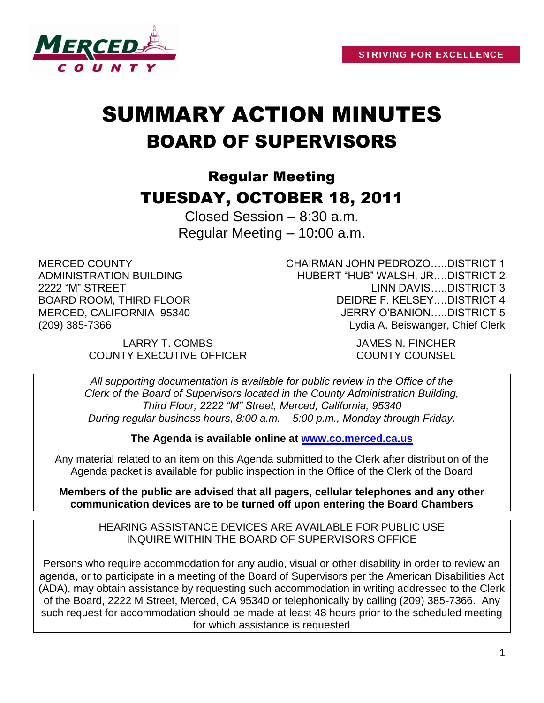

# SUMMARY ACTION MINUTES BOARD OF SUPERVISORS

# Regular Meeting TUESDAY, OCTOBER 18, 2011

Closed Session – 8:30 a.m. Regular Meeting – 10:00 a.m.

MERCED COUNTY ADMINISTRATION BUILDING 2222 "M" STREET BOARD ROOM, THIRD FLOOR MERCED, CALIFORNIA 95340 (209) 385-7366

CHAIRMAN JOHN PEDROZO…..DISTRICT 1 HUBERT "HUB" WALSH, JR….DISTRICT 2 LINN DAVIS…..DISTRICT 3 DEIDRE F. KELSEY….DISTRICT 4 JERRY O'BANION…..DISTRICT 5 Lydia A. Beiswanger, Chief Clerk

LARRY T. COMBS JAMES N. FINCHER COUNTY EXECUTIVE OFFICER COUNTY COUNSEL

*All supporting documentation is available for public review in the Office of the Clerk of the Board of Supervisors located in the County Administration Building, Third Floor, 2222 "M" Street, Merced, California, 95340 During regular business hours, 8:00 a.m. – 5:00 p.m., Monday through Friday.*

**The Agenda is available online at [www.co.merced.ca.us](http://www.co.merced.ca.us/)**

Any material related to an item on this Agenda submitted to the Clerk after distribution of the Agenda packet is available for public inspection in the Office of the Clerk of the Board

**Members of the public are advised that all pagers, cellular telephones and any other communication devices are to be turned off upon entering the Board Chambers**

HEARING ASSISTANCE DEVICES ARE AVAILABLE FOR PUBLIC USE INQUIRE WITHIN THE BOARD OF SUPERVISORS OFFICE

Persons who require accommodation for any audio, visual or other disability in order to review an agenda, or to participate in a meeting of the Board of Supervisors per the American Disabilities Act (ADA), may obtain assistance by requesting such accommodation in writing addressed to the Clerk of the Board, 2222 M Street, Merced, CA 95340 or telephonically by calling (209) 385-7366. Any such request for accommodation should be made at least 48 hours prior to the scheduled meeting for which assistance is requested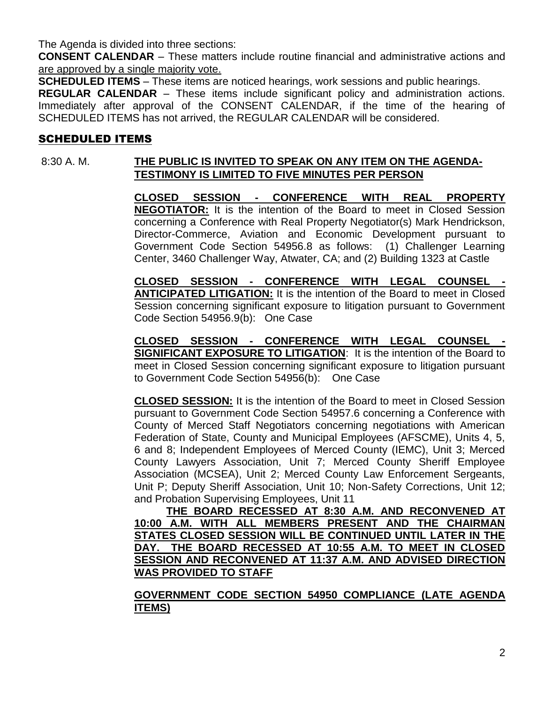The Agenda is divided into three sections:

**CONSENT CALENDAR** – These matters include routine financial and administrative actions and are approved by a single majority vote.

**SCHEDULED ITEMS** – These items are noticed hearings, work sessions and public hearings.

**REGULAR CALENDAR** – These items include significant policy and administration actions. Immediately after approval of the CONSENT CALENDAR, if the time of the hearing of SCHEDULED ITEMS has not arrived, the REGULAR CALENDAR will be considered.

# SCHEDULED ITEMS

# 8:30 A. M. **THE PUBLIC IS INVITED TO SPEAK ON ANY ITEM ON THE AGENDA-TESTIMONY IS LIMITED TO FIVE MINUTES PER PERSON**

**CLOSED SESSION - CONFERENCE WITH REAL PROPERTY NEGOTIATOR:** It is the intention of the Board to meet in Closed Session concerning a Conference with Real Property Negotiator(s) Mark Hendrickson, Director-Commerce, Aviation and Economic Development pursuant to Government Code Section 54956.8 as follows: (1) Challenger Learning Center, 3460 Challenger Way, Atwater, CA; and (2) Building 1323 at Castle

**CLOSED SESSION - CONFERENCE WITH LEGAL COUNSEL - ANTICIPATED LITIGATION:** It is the intention of the Board to meet in Closed Session concerning significant exposure to litigation pursuant to Government Code Section 54956.9(b): One Case

**CLOSED SESSION - CONFERENCE WITH LEGAL COUNSEL - SIGNIFICANT EXPOSURE TO LITIGATION**: It is the intention of the Board to meet in Closed Session concerning significant exposure to litigation pursuant to Government Code Section 54956(b): One Case

**CLOSED SESSION:** It is the intention of the Board to meet in Closed Session pursuant to Government Code Section 54957.6 concerning a Conference with County of Merced Staff Negotiators concerning negotiations with American Federation of State, County and Municipal Employees (AFSCME), Units 4, 5, 6 and 8; Independent Employees of Merced County (IEMC), Unit 3; Merced County Lawyers Association, Unit 7; Merced County Sheriff Employee Association (MCSEA), Unit 2; Merced County Law Enforcement Sergeants, Unit P; Deputy Sheriff Association, Unit 10; Non-Safety Corrections, Unit 12; and Probation Supervising Employees, Unit 11

**THE BOARD RECESSED AT 8:30 A.M. AND RECONVENED AT 10:00 A.M. WITH ALL MEMBERS PRESENT AND THE CHAIRMAN STATES CLOSED SESSION WILL BE CONTINUED UNTIL LATER IN THE DAY. THE BOARD RECESSED AT 10:55 A.M. TO MEET IN CLOSED SESSION AND RECONVENED AT 11:37 A.M. AND ADVISED DIRECTION WAS PROVIDED TO STAFF**

**GOVERNMENT CODE SECTION 54950 COMPLIANCE (LATE AGENDA ITEMS)**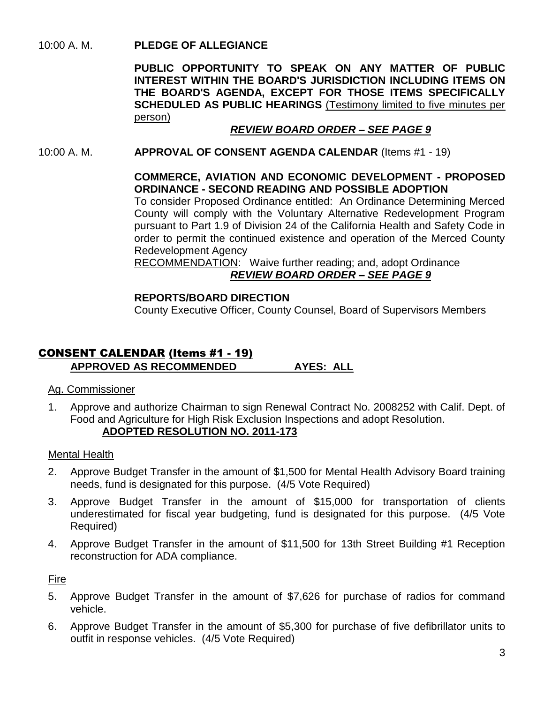10:00 A. M. **PLEDGE OF ALLEGIANCE**

**PUBLIC OPPORTUNITY TO SPEAK ON ANY MATTER OF PUBLIC INTEREST WITHIN THE BOARD'S JURISDICTION INCLUDING ITEMS ON THE BOARD'S AGENDA, EXCEPT FOR THOSE ITEMS SPECIFICALLY SCHEDULED AS PUBLIC HEARINGS** (Testimony limited to five minutes per person)

# *REVIEW BOARD ORDER – SEE PAGE 9*

10:00 A. M. **APPROVAL OF CONSENT AGENDA CALENDAR** (Items #1 - 19)

#### **COMMERCE, AVIATION AND ECONOMIC DEVELOPMENT - PROPOSED ORDINANCE - SECOND READING AND POSSIBLE ADOPTION**

To consider Proposed Ordinance entitled: An Ordinance Determining Merced County will comply with the Voluntary Alternative Redevelopment Program pursuant to Part 1.9 of Division 24 of the California Health and Safety Code in order to permit the continued existence and operation of the Merced County Redevelopment Agency

RECOMMENDATION: Waive further reading; and, adopt Ordinance *REVIEW BOARD ORDER – SEE PAGE 9*

#### **REPORTS/BOARD DIRECTION**

County Executive Officer, County Counsel, Board of Supervisors Members

# CONSENT CALENDAR (Items #1 - 19) **APPROVED AS RECOMMENDED AYES: ALL**

#### Ag. Commissioner

1. Approve and authorize Chairman to sign Renewal Contract No. 2008252 with Calif. Dept. of Food and Agriculture for High Risk Exclusion Inspections and adopt Resolution. **ADOPTED RESOLUTION NO. 2011-173**

#### Mental Health

- 2. Approve Budget Transfer in the amount of \$1,500 for Mental Health Advisory Board training needs, fund is designated for this purpose. (4/5 Vote Required)
- 3. Approve Budget Transfer in the amount of \$15,000 for transportation of clients underestimated for fiscal year budgeting, fund is designated for this purpose. (4/5 Vote Required)
- 4. Approve Budget Transfer in the amount of \$11,500 for 13th Street Building #1 Reception reconstruction for ADA compliance.

Fire

- 5. Approve Budget Transfer in the amount of \$7,626 for purchase of radios for command vehicle.
- 6. Approve Budget Transfer in the amount of \$5,300 for purchase of five defibrillator units to outfit in response vehicles. (4/5 Vote Required)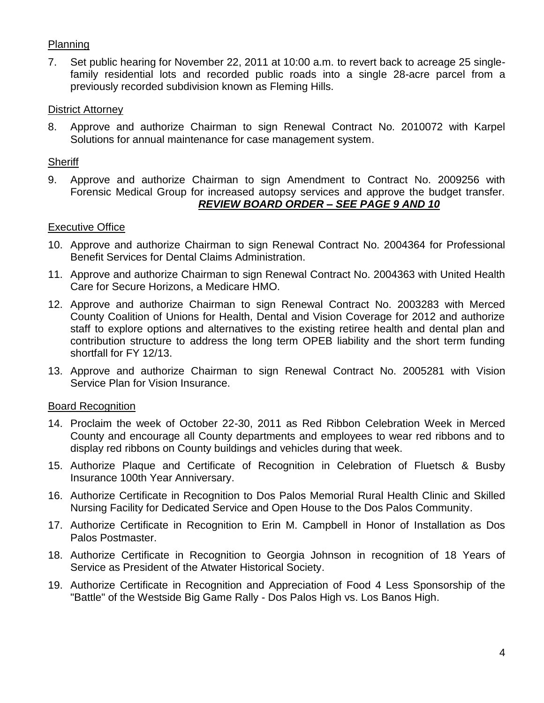# Planning

7. Set public hearing for November 22, 2011 at 10:00 a.m. to revert back to acreage 25 singlefamily residential lots and recorded public roads into a single 28-acre parcel from a previously recorded subdivision known as Fleming Hills.

#### District Attorney

8. Approve and authorize Chairman to sign Renewal Contract No. 2010072 with Karpel Solutions for annual maintenance for case management system.

#### **Sheriff**

9. Approve and authorize Chairman to sign Amendment to Contract No. 2009256 with Forensic Medical Group for increased autopsy services and approve the budget transfer. *REVIEW BOARD ORDER – SEE PAGE 9 AND 10*

#### Executive Office

- 10. Approve and authorize Chairman to sign Renewal Contract No. 2004364 for Professional Benefit Services for Dental Claims Administration.
- 11. Approve and authorize Chairman to sign Renewal Contract No. 2004363 with United Health Care for Secure Horizons, a Medicare HMO.
- 12. Approve and authorize Chairman to sign Renewal Contract No. 2003283 with Merced County Coalition of Unions for Health, Dental and Vision Coverage for 2012 and authorize staff to explore options and alternatives to the existing retiree health and dental plan and contribution structure to address the long term OPEB liability and the short term funding shortfall for FY 12/13.
- 13. Approve and authorize Chairman to sign Renewal Contract No. 2005281 with Vision Service Plan for Vision Insurance.

# Board Recognition

- 14. Proclaim the week of October 22-30, 2011 as Red Ribbon Celebration Week in Merced County and encourage all County departments and employees to wear red ribbons and to display red ribbons on County buildings and vehicles during that week.
- 15. Authorize Plaque and Certificate of Recognition in Celebration of Fluetsch & Busby Insurance 100th Year Anniversary.
- 16. Authorize Certificate in Recognition to Dos Palos Memorial Rural Health Clinic and Skilled Nursing Facility for Dedicated Service and Open House to the Dos Palos Community.
- 17. Authorize Certificate in Recognition to Erin M. Campbell in Honor of Installation as Dos Palos Postmaster.
- 18. Authorize Certificate in Recognition to Georgia Johnson in recognition of 18 Years of Service as President of the Atwater Historical Society.
- 19. Authorize Certificate in Recognition and Appreciation of Food 4 Less Sponsorship of the "Battle" of the Westside Big Game Rally - Dos Palos High vs. Los Banos High.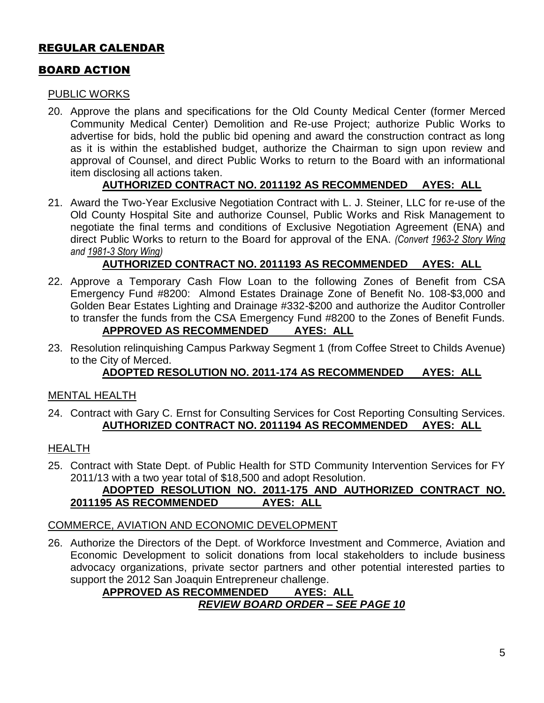# REGULAR CALENDAR

# BOARD ACTION

#### PUBLIC WORKS

20. Approve the plans and specifications for the Old County Medical Center (former Merced Community Medical Center) Demolition and Re-use Project; authorize Public Works to advertise for bids, hold the public bid opening and award the construction contract as long as it is within the established budget, authorize the Chairman to sign upon review and approval of Counsel, and direct Public Works to return to the Board with an informational item disclosing all actions taken.

# **AUTHORIZED CONTRACT NO. 2011192 AS RECOMMENDED AYES: ALL**

21. Award the Two-Year Exclusive Negotiation Contract with L. J. Steiner, LLC for re-use of the Old County Hospital Site and authorize Counsel, Public Works and Risk Management to negotiate the final terms and conditions of Exclusive Negotiation Agreement (ENA) and direct Public Works to return to the Board for approval of the ENA. *(Convert 1963-2 Story Wing and 1981-3 Story Wing)*

# **AUTHORIZED CONTRACT NO. 2011193 AS RECOMMENDED AYES: ALL**

- 22. Approve a Temporary Cash Flow Loan to the following Zones of Benefit from CSA Emergency Fund #8200: Almond Estates Drainage Zone of Benefit No. 108-\$3,000 and Golden Bear Estates Lighting and Drainage #332-\$200 and authorize the Auditor Controller to transfer the funds from the CSA Emergency Fund #8200 to the Zones of Benefit Funds. **APPROVED AS RECOMMENDED AYES: ALL**
- 23. Resolution relinquishing Campus Parkway Segment 1 (from Coffee Street to Childs Avenue) to the City of Merced.

# **ADOPTED RESOLUTION NO. 2011-174 AS RECOMMENDED AYES: ALL**

#### MENTAL HEALTH

24. Contract with Gary C. Ernst for Consulting Services for Cost Reporting Consulting Services. **AUTHORIZED CONTRACT NO. 2011194 AS RECOMMENDED AYES: ALL**

# **HEALTH**

25. Contract with State Dept. of Public Health for STD Community Intervention Services for FY 2011/13 with a two year total of \$18,500 and adopt Resolution.

# **ADOPTED RESOLUTION NO. 2011-175 AND AUTHORIZED CONTRACT NO. 2011195 AS RECOMMENDED AYES: ALL**

#### COMMERCE, AVIATION AND ECONOMIC DEVELOPMENT

26. Authorize the Directors of the Dept. of Workforce Investment and Commerce, Aviation and Economic Development to solicit donations from local stakeholders to include business advocacy organizations, private sector partners and other potential interested parties to support the 2012 San Joaquin Entrepreneur challenge.

# **APPROVED AS RECOMMENDED AYES: ALL** *REVIEW BOARD ORDER – SEE PAGE 10*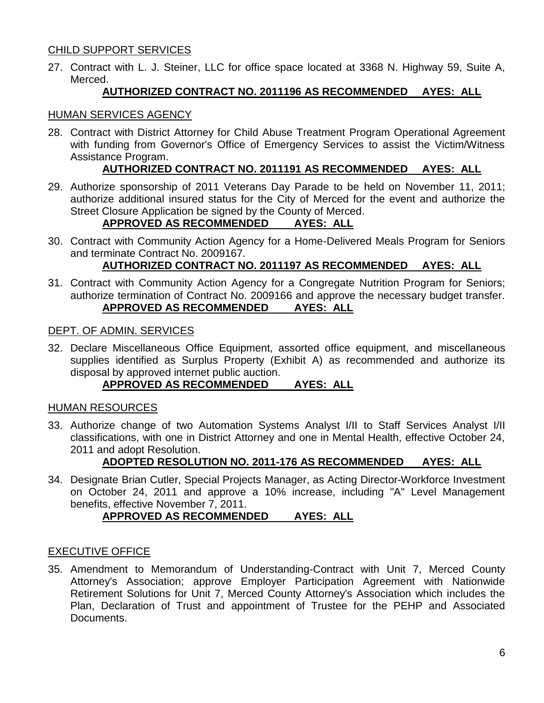# CHILD SUPPORT SERVICES

27. Contract with L. J. Steiner, LLC for office space located at 3368 N. Highway 59, Suite A, Merced.

# **AUTHORIZED CONTRACT NO. 2011196 AS RECOMMENDED AYES: ALL**

#### HUMAN SERVICES AGENCY

28. Contract with District Attorney for Child Abuse Treatment Program Operational Agreement with funding from Governor's Office of Emergency Services to assist the Victim/Witness Assistance Program.

#### **AUTHORIZED CONTRACT NO. 2011191 AS RECOMMENDED AYES: ALL**

29. Authorize sponsorship of 2011 Veterans Day Parade to be held on November 11, 2011; authorize additional insured status for the City of Merced for the event and authorize the Street Closure Application be signed by the County of Merced.

# **APPROVED AS RECOMMENDED AYES: ALL**

30. Contract with Community Action Agency for a Home-Delivered Meals Program for Seniors and terminate Contract No. 2009167.

# **AUTHORIZED CONTRACT NO. 2011197 AS RECOMMENDED AYES: ALL**

31. Contract with Community Action Agency for a Congregate Nutrition Program for Seniors; authorize termination of Contract No. 2009166 and approve the necessary budget transfer. **APPROVED AS RECOMMENDED AYES: ALL**

#### DEPT. OF ADMIN. SERVICES

32. Declare Miscellaneous Office Equipment, assorted office equipment, and miscellaneous supplies identified as Surplus Property (Exhibit A) as recommended and authorize its disposal by approved internet public auction.

# **APPROVED AS RECOMMENDED AYES: ALL**

#### HUMAN RESOURCES

33. Authorize change of two Automation Systems Analyst I/II to Staff Services Analyst I/II classifications, with one in District Attorney and one in Mental Health, effective October 24, 2011 and adopt Resolution.

#### **ADOPTED RESOLUTION NO. 2011-176 AS RECOMMENDED AYES: ALL**

34. Designate Brian Cutler, Special Projects Manager, as Acting Director-Workforce Investment on October 24, 2011 and approve a 10% increase, including "A" Level Management benefits, effective November 7, 2011.

# **APPROVED AS RECOMMENDED AYES: ALL**

#### EXECUTIVE OFFICE

35. Amendment to Memorandum of Understanding-Contract with Unit 7, Merced County Attorney's Association; approve Employer Participation Agreement with Nationwide Retirement Solutions for Unit 7, Merced County Attorney's Association which includes the Plan, Declaration of Trust and appointment of Trustee for the PEHP and Associated Documents.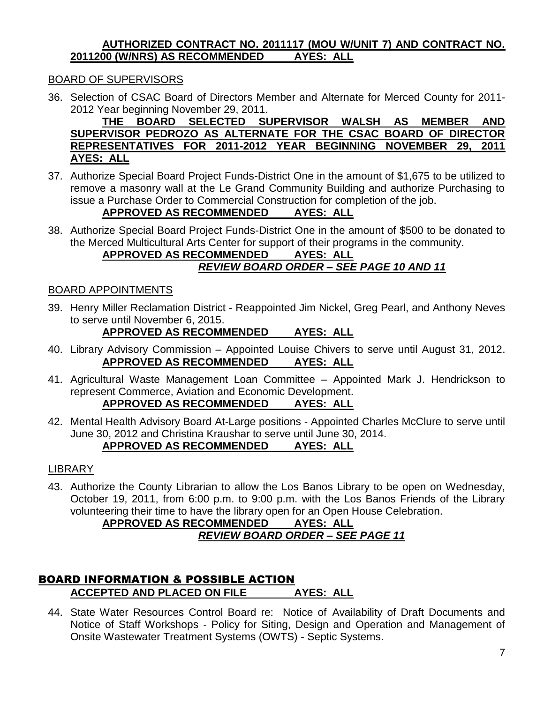#### **AUTHORIZED CONTRACT NO. 2011117 (MOU W/UNIT 7) AND CONTRACT NO. 2011200 (W/NRS) AS RECOMMENDED AYES: ALL**

# BOARD OF SUPERVISORS

36. Selection of CSAC Board of Directors Member and Alternate for Merced County for 2011- 2012 Year beginning November 29, 2011.

**THE BOARD SELECTED SUPERVISOR WALSH AS MEMBER AND SUPERVISOR PEDROZO AS ALTERNATE FOR THE CSAC BOARD OF DIRECTOR REPRESENTATIVES FOR 2011-2012 YEAR BEGINNING NOVEMBER 29, 2011 AYES: ALL**

37. Authorize Special Board Project Funds-District One in the amount of \$1,675 to be utilized to remove a masonry wall at the Le Grand Community Building and authorize Purchasing to issue a Purchase Order to Commercial Construction for completion of the job.

# **APPROVED AS RECOMMENDED AYES: ALL**

38. Authorize Special Board Project Funds-District One in the amount of \$500 to be donated to the Merced Multicultural Arts Center for support of their programs in the community.

#### **APPROVED AS RECOMMENDED AYES: ALL** *REVIEW BOARD ORDER – SEE PAGE 10 AND 11*

#### BOARD APPOINTMENTS

39. Henry Miller Reclamation District - Reappointed Jim Nickel, Greg Pearl, and Anthony Neves to serve until November 6, 2015.

# **APPROVED AS RECOMMENDED AYES: ALL**

- 40. Library Advisory Commission Appointed Louise Chivers to serve until August 31, 2012. **APPROVED AS RECOMMENDED AYES: ALL**
- 41. Agricultural Waste Management Loan Committee Appointed Mark J. Hendrickson to represent Commerce, Aviation and Economic Development. **APPROVED AS RECOMMENDED AYES: ALL**
- 42. Mental Health Advisory Board At-Large positions Appointed Charles McClure to serve until June 30, 2012 and Christina Kraushar to serve until June 30, 2014.

# **APPROVED AS RECOMMENDED AYES: ALL**

#### LIBRARY

43. Authorize the County Librarian to allow the Los Banos Library to be open on Wednesday, October 19, 2011, from 6:00 p.m. to 9:00 p.m. with the Los Banos Friends of the Library volunteering their time to have the library open for an Open House Celebration.

# **APPROVED AS RECOMMENDED AYES: ALL** *REVIEW BOARD ORDER – SEE PAGE 11*

# BOARD INFORMATION & POSSIBLE ACTION **ACCEPTED AND PLACED ON FILE AYES: ALL**

44. State Water Resources Control Board re: Notice of Availability of Draft Documents and Notice of Staff Workshops - Policy for Siting, Design and Operation and Management of Onsite Wastewater Treatment Systems (OWTS) - Septic Systems.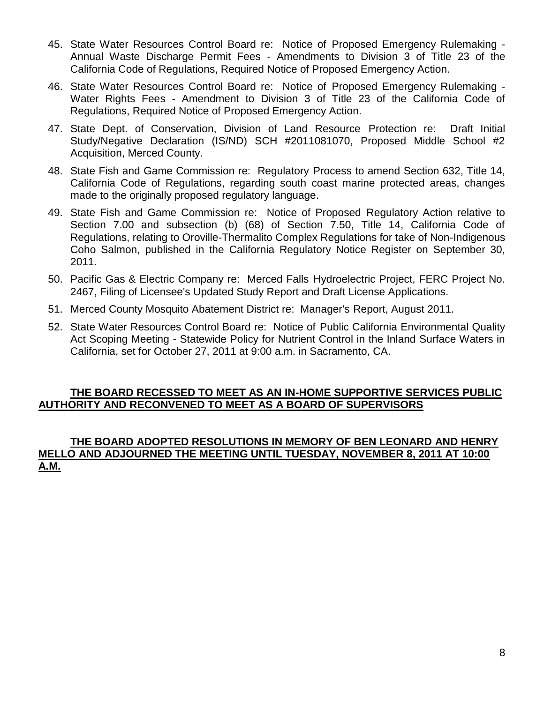- 45. State Water Resources Control Board re: Notice of Proposed Emergency Rulemaking Annual Waste Discharge Permit Fees - Amendments to Division 3 of Title 23 of the California Code of Regulations, Required Notice of Proposed Emergency Action.
- 46. State Water Resources Control Board re: Notice of Proposed Emergency Rulemaking Water Rights Fees - Amendment to Division 3 of Title 23 of the California Code of Regulations, Required Notice of Proposed Emergency Action.
- 47. State Dept. of Conservation, Division of Land Resource Protection re: Draft Initial Study/Negative Declaration (IS/ND) SCH #2011081070, Proposed Middle School #2 Acquisition, Merced County.
- 48. State Fish and Game Commission re: Regulatory Process to amend Section 632, Title 14, California Code of Regulations, regarding south coast marine protected areas, changes made to the originally proposed regulatory language.
- 49. State Fish and Game Commission re: Notice of Proposed Regulatory Action relative to Section 7.00 and subsection (b) (68) of Section 7.50, Title 14, California Code of Regulations, relating to Oroville-Thermalito Complex Regulations for take of Non-Indigenous Coho Salmon, published in the California Regulatory Notice Register on September 30, 2011.
- 50. Pacific Gas & Electric Company re: Merced Falls Hydroelectric Project, FERC Project No. 2467, Filing of Licensee's Updated Study Report and Draft License Applications.
- 51. Merced County Mosquito Abatement District re: Manager's Report, August 2011.
- 52. State Water Resources Control Board re: Notice of Public California Environmental Quality Act Scoping Meeting - Statewide Policy for Nutrient Control in the Inland Surface Waters in California, set for October 27, 2011 at 9:00 a.m. in Sacramento, CA.

# **THE BOARD RECESSED TO MEET AS AN IN-HOME SUPPORTIVE SERVICES PUBLIC AUTHORITY AND RECONVENED TO MEET AS A BOARD OF SUPERVISORS**

# **THE BOARD ADOPTED RESOLUTIONS IN MEMORY OF BEN LEONARD AND HENRY MELLO AND ADJOURNED THE MEETING UNTIL TUESDAY, NOVEMBER 8, 2011 AT 10:00 A.M.**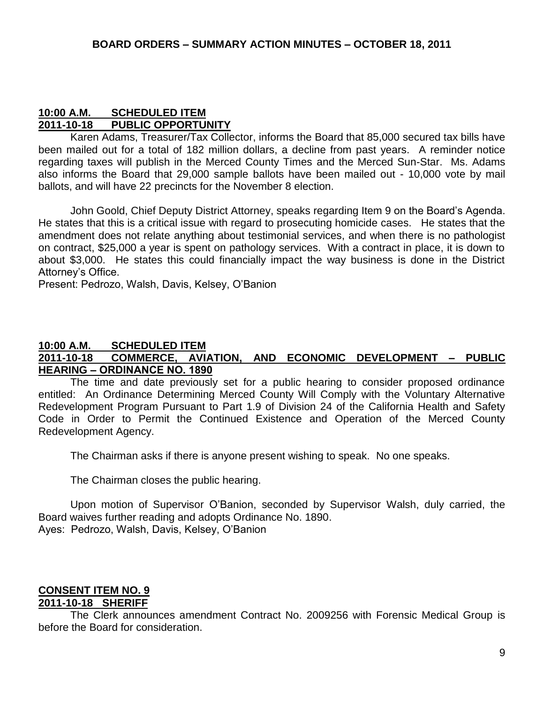#### **10:00 A.M. SCHEDULED ITEM 2011-10-18 PUBLIC OPPORTUNITY**

Karen Adams, Treasurer/Tax Collector, informs the Board that 85,000 secured tax bills have been mailed out for a total of 182 million dollars, a decline from past years. A reminder notice regarding taxes will publish in the Merced County Times and the Merced Sun-Star. Ms. Adams also informs the Board that 29,000 sample ballots have been mailed out - 10,000 vote by mail ballots, and will have 22 precincts for the November 8 election.

John Goold, Chief Deputy District Attorney, speaks regarding Item 9 on the Board's Agenda. He states that this is a critical issue with regard to prosecuting homicide cases. He states that the amendment does not relate anything about testimonial services, and when there is no pathologist on contract, \$25,000 a year is spent on pathology services. With a contract in place, it is down to about \$3,000. He states this could financially impact the way business is done in the District Attorney's Office.

Present: Pedrozo, Walsh, Davis, Kelsey, O'Banion

#### **10:00 A.M. SCHEDULED ITEM 2011-10-18 COMMERCE, AVIATION, AND ECONOMIC DEVELOPMENT – PUBLIC HEARING – ORDINANCE NO. 1890**

The time and date previously set for a public hearing to consider proposed ordinance entitled: An Ordinance Determining Merced County Will Comply with the Voluntary Alternative Redevelopment Program Pursuant to Part 1.9 of Division 24 of the California Health and Safety Code in Order to Permit the Continued Existence and Operation of the Merced County Redevelopment Agency.

The Chairman asks if there is anyone present wishing to speak. No one speaks.

The Chairman closes the public hearing.

Upon motion of Supervisor O'Banion, seconded by Supervisor Walsh, duly carried, the Board waives further reading and adopts Ordinance No. 1890. Ayes: Pedrozo, Walsh, Davis, Kelsey, O'Banion

#### **CONSENT ITEM NO. 9 2011-10-18 SHERIFF**

The Clerk announces amendment Contract No. 2009256 with Forensic Medical Group is before the Board for consideration.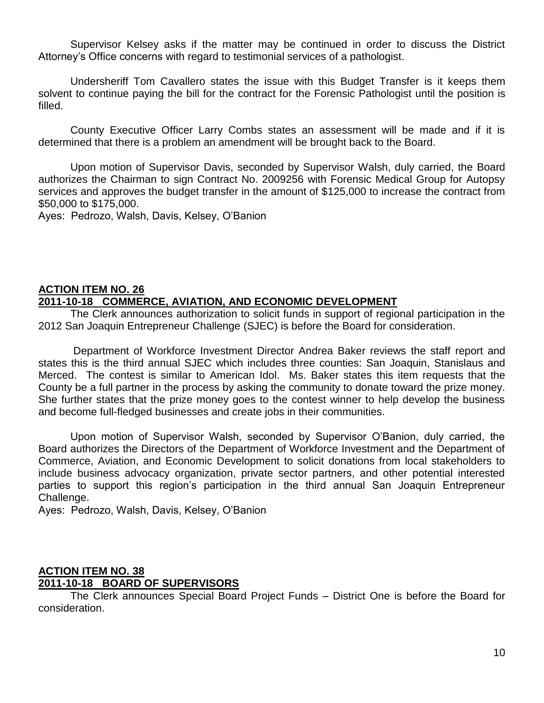Supervisor Kelsey asks if the matter may be continued in order to discuss the District Attorney's Office concerns with regard to testimonial services of a pathologist.

Undersheriff Tom Cavallero states the issue with this Budget Transfer is it keeps them solvent to continue paying the bill for the contract for the Forensic Pathologist until the position is filled.

County Executive Officer Larry Combs states an assessment will be made and if it is determined that there is a problem an amendment will be brought back to the Board.

Upon motion of Supervisor Davis, seconded by Supervisor Walsh, duly carried, the Board authorizes the Chairman to sign Contract No. 2009256 with Forensic Medical Group for Autopsy services and approves the budget transfer in the amount of \$125,000 to increase the contract from \$50,000 to \$175,000.

Ayes: Pedrozo, Walsh, Davis, Kelsey, O'Banion

#### **ACTION ITEM NO. 26 2011-10-18 COMMERCE, AVIATION, AND ECONOMIC DEVELOPMENT**

The Clerk announces authorization to solicit funds in support of regional participation in the 2012 San Joaquin Entrepreneur Challenge (SJEC) is before the Board for consideration.

Department of Workforce Investment Director Andrea Baker reviews the staff report and states this is the third annual SJEC which includes three counties: San Joaquin, Stanislaus and Merced. The contest is similar to American Idol. Ms. Baker states this item requests that the County be a full partner in the process by asking the community to donate toward the prize money. She further states that the prize money goes to the contest winner to help develop the business and become full-fledged businesses and create jobs in their communities.

Upon motion of Supervisor Walsh, seconded by Supervisor O'Banion, duly carried, the Board authorizes the Directors of the Department of Workforce Investment and the Department of Commerce, Aviation, and Economic Development to solicit donations from local stakeholders to include business advocacy organization, private sector partners, and other potential interested parties to support this region's participation in the third annual San Joaquin Entrepreneur Challenge.

Ayes: Pedrozo, Walsh, Davis, Kelsey, O'Banion

#### **ACTION ITEM NO. 38 2011-10-18 BOARD OF SUPERVISORS**

The Clerk announces Special Board Project Funds – District One is before the Board for consideration.